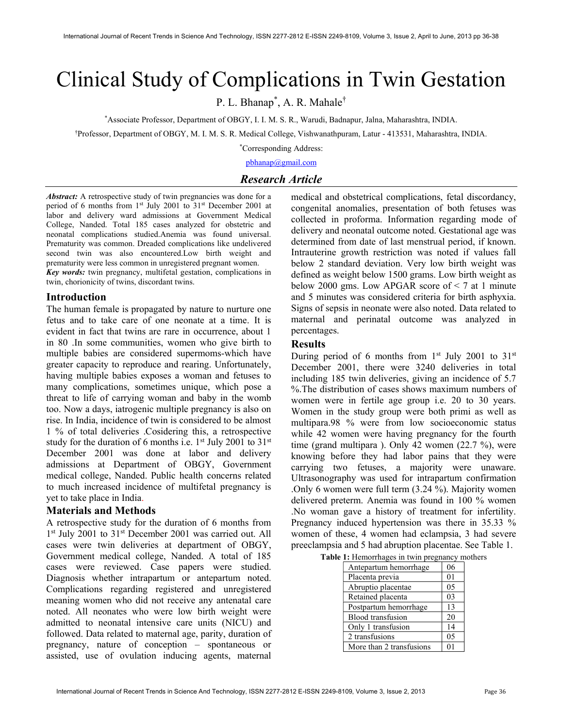# Clinical Study of Complications in Twin Gestation

P. L. Bhanap<sup>\*</sup>, A. R. Mahale<sup>†</sup>

\*Associate Professor, Department of OBGY, I. I. M. S. R., Warudi, Badnapur, Jalna, Maharashtra, INDIA.

†Professor, Department of OBGY, M. I. M. S. R. Medical College, Vishwanathpuram, Latur - 413531, Maharashtra, INDIA.

\*Corresponding Address:

pbhanap@gmail.com

# Research Article

Abstract: A retrospective study of twin pregnancies was done for a period of 6 months from 1<sup>st</sup> July 2001 to 31<sup>st</sup> December 2001 at labor and delivery ward admissions at Government Medical College, Nanded. Total 185 cases analyzed for obstetric and neonatal complications studied.Anemia was found universal. Prematurity was common. Dreaded complications like undelivered second twin was also encountered.Low birth weight and prematurity were less common in unregistered pregnant women.

Key words: twin pregnancy, multifetal gestation, complications in twin, chorionicity of twins, discordant twins.

# Introduction

The human female is propagated by nature to nurture one fetus and to take care of one neonate at a time. It is evident in fact that twins are rare in occurrence, about 1 in 80 .In some communities, women who give birth to multiple babies are considered supermoms-which have greater capacity to reproduce and rearing. Unfortunately, having multiple babies exposes a woman and fetuses to many complications, sometimes unique, which pose a threat to life of carrying woman and baby in the womb too. Now a days, iatrogenic multiple pregnancy is also on rise. In India, incidence of twin is considered to be almost 1 % of total deliveries .Cosidering this, a retrospective study for the duration of 6 months i.e.  $1<sup>st</sup>$  July 2001 to 31 $<sup>st</sup>$ </sup> December 2001 was done at labor and delivery admissions at Department of OBGY, Government medical college, Nanded. Public health concerns related to much increased incidence of multifetal pregnancy is yet to take place in India.

# Materials and Methods

A retrospective study for the duration of 6 months from 1<sup>st</sup> July 2001 to 31<sup>st</sup> December 2001 was carried out. All cases were twin deliveries at department of OBGY, Government medical college, Nanded. A total of 185 cases were reviewed. Case papers were studied. Diagnosis whether intrapartum or antepartum noted. Complications regarding registered and unregistered meaning women who did not receive any antenatal care noted. All neonates who were low birth weight were admitted to neonatal intensive care units (NICU) and followed. Data related to maternal age, parity, duration of pregnancy, nature of conception – spontaneous or assisted, use of ovulation inducing agents, maternal

medical and obstetrical complications, fetal discordancy, congenital anomalies, presentation of both fetuses was collected in proforma. Information regarding mode of delivery and neonatal outcome noted. Gestational age was determined from date of last menstrual period, if known. Intrauterine growth restriction was noted if values fall below 2 standard deviation. Very low birth weight was defined as weight below 1500 grams. Low birth weight as below 2000 gms. Low APGAR score of  $\leq 7$  at 1 minute and 5 minutes was considered criteria for birth asphyxia. Signs of sepsis in neonate were also noted. Data related to maternal and perinatal outcome was analyzed in percentages.

#### Results

During period of 6 months from  $1<sup>st</sup>$  July 2001 to  $31<sup>st</sup>$ December 2001, there were 3240 deliveries in total including 185 twin deliveries, giving an incidence of 5.7 %.The distribution of cases shows maximum numbers of women were in fertile age group i.e. 20 to 30 years. Women in the study group were both primi as well as multipara.98 % were from low socioeconomic status while 42 women were having pregnancy for the fourth time (grand multipara ). Only 42 women (22.7 %), were knowing before they had labor pains that they were carrying two fetuses, a majority were unaware. Ultrasonography was used for intrapartum confirmation .Only 6 women were full term (3.24 %). Majority women delivered preterm. Anemia was found in 100 % women .No woman gave a history of treatment for infertility. Pregnancy induced hypertension was there in 35.33 % women of these, 4 women had eclampsia, 3 had severe preeclampsia and 5 had abruption placentae. See Table 1.

| $\ldots$ remorting to $\ldots$ and $\ldots$ $\ldots$ |                |
|------------------------------------------------------|----------------|
| Antepartum hemorrhage                                | 06             |
| Placenta previa                                      | 0 <sub>1</sub> |
| Abruptio placentae                                   | 05             |
| Retained placenta                                    | 03             |
| Postpartum hemorrhage                                | 13             |
| <b>Blood</b> transfusion                             | 20             |
| Only 1 transfusion                                   | 14             |
| 2 transfusions                                       | 05             |
| More than 2 transfusions                             | 01             |

Table 1: Hemorrhages in twin pregnancy mothers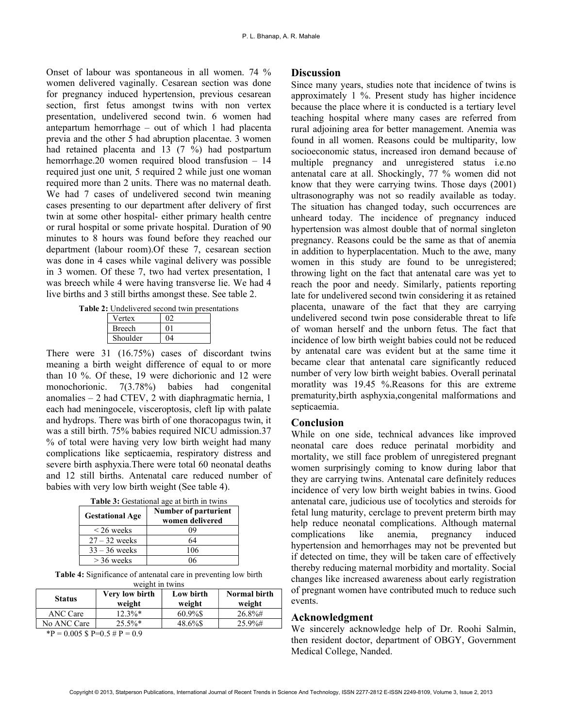Onset of labour was spontaneous in all women. 74 % women delivered vaginally. Cesarean section was done for pregnancy induced hypertension, previous cesarean section, first fetus amongst twins with non vertex presentation, undelivered second twin. 6 women had antepartum hemorrhage – out of which 1 had placenta previa and the other 5 had abruption placentae. 3 women had retained placenta and 13 (7 %) had postpartum hemorrhage.20 women required blood transfusion – 14 required just one unit, 5 required 2 while just one woman required more than 2 units. There was no maternal death. We had 7 cases of undelivered second twin meaning cases presenting to our department after delivery of first twin at some other hospital- either primary health centre or rural hospital or some private hospital. Duration of 90 minutes to 8 hours was found before they reached our department (labour room).Of these 7, cesarean section was done in 4 cases while vaginal delivery was possible in 3 women. Of these 7, two had vertex presentation, 1 was breech while 4 were having transverse lie. We had 4 live births and 3 still births amongst these. See table 2.

Table 2: Undelivered second twin presentations

| Vertex        |  |
|---------------|--|
| <b>Breech</b> |  |
| Shoulder      |  |

There were 31 (16.75%) cases of discordant twins meaning a birth weight difference of equal to or more than 10 %. Of these, 19 were dichorionic and 12 were monochorionic. 7(3.78%) babies had congenital anomalies – 2 had CTEV, 2 with diaphragmatic hernia, 1 each had meningocele, visceroptosis, cleft lip with palate and hydrops. There was birth of one thoracopagus twin, it was a still birth. 75% babies required NICU admission.37 % of total were having very low birth weight had many complications like septicaemia, respiratory distress and severe birth asphyxia.There were total 60 neonatal deaths and 12 still births. Antenatal care reduced number of babies with very low birth weight (See table 4).

| <b>Table 3:</b> Gestational age at birth in twins |  |  |
|---------------------------------------------------|--|--|
|                                                   |  |  |

| <b>Gestational Age</b> | <b>Number of parturient</b><br>women delivered |
|------------------------|------------------------------------------------|
| $\leq$ 26 weeks        | 09                                             |
| $27 - 32$ weeks        | 64                                             |
| $33 - 36$ weeks        | 106                                            |
| $>$ 36 weeks           |                                                |

Table 4: Significance of antenatal care in preventing low birth weight in twins

| <b>Status</b> | Very low birth<br>weight | Low birth<br>weight | Normal birth<br>weight |  |  |
|---------------|--------------------------|---------------------|------------------------|--|--|
| ANC Care      | $12.3\%*$                | 60.9%\$             | $26.8\%$ #             |  |  |
| No ANC Care   | $25.5\%*$                | 48.6%\$             | $25.9\%$ #             |  |  |

 ${}^{*}\text{P} = 0.005 \text{ }$  \$ P=0.5 # P = 0.9

#### **Discussion**

Since many years, studies note that incidence of twins is approximately 1 %. Present study has higher incidence because the place where it is conducted is a tertiary level teaching hospital where many cases are referred from rural adjoining area for better management. Anemia was found in all women. Reasons could be multiparity, low socioeconomic status, increased iron demand because of multiple pregnancy and unregistered status i.e.no antenatal care at all. Shockingly, 77 % women did not know that they were carrying twins. Those days (2001) ultrasonography was not so readily available as today. The situation has changed today, such occurrences are unheard today. The incidence of pregnancy induced hypertension was almost double that of normal singleton pregnancy. Reasons could be the same as that of anemia in addition to hyperplacentation. Much to the awe, many women in this study are found to be unregistered; throwing light on the fact that antenatal care was yet to reach the poor and needy. Similarly, patients reporting late for undelivered second twin considering it as retained placenta, unaware of the fact that they are carrying undelivered second twin pose considerable threat to life of woman herself and the unborn fetus. The fact that incidence of low birth weight babies could not be reduced by antenatal care was evident but at the same time it became clear that antenatal care significantly reduced number of very low birth weight babies. Overall perinatal moratlity was 19.45 %.Reasons for this are extreme prematurity,birth asphyxia,congenital malformations and septicaemia.

# Conclusion

While on one side, technical advances like improved neonatal care does reduce perinatal morbidity and mortality, we still face problem of unregistered pregnant women surprisingly coming to know during labor that they are carrying twins. Antenatal care definitely reduces incidence of very low birth weight babies in twins. Good antenatal care, judicious use of tocolytics and steroids for fetal lung maturity, cerclage to prevent preterm birth may help reduce neonatal complications. Although maternal complications like anemia, pregnancy induced hypertension and hemorrhages may not be prevented but if detected on time, they will be taken care of effectively thereby reducing maternal morbidity and mortality. Social changes like increased awareness about early registration of pregnant women have contributed much to reduce such events.

#### Acknowledgment

We sincerely acknowledge help of Dr. Roohi Salmin, then resident doctor, department of OBGY, Government Medical College, Nanded.